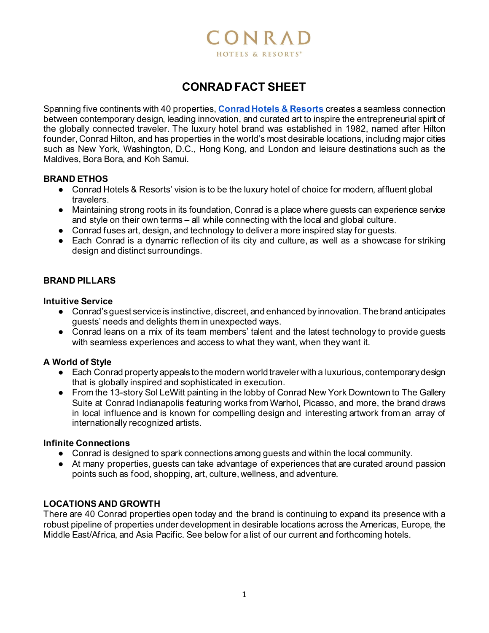

# **CONRAD FACT SHEET**

Spanning five continents with 40 properties, **[Conrad Hotels & Resorts](https://www.hilton.com/en/conrad/)** creates a seamless connection between contemporary design, leading innovation, and curated art to inspire the entrepreneurial spirit of the globally connected traveler. The luxury hotel brand was established in 1982, named after Hilton founder, Conrad Hilton, and has properties in the world's most desirable locations, including major cities such as New York, Washington, D.C., Hong Kong, and London and leisure destinations such as the Maldives, Bora Bora, and Koh Samui.

### **BRAND ETHOS**

- Conrad Hotels & Resorts' vision is to be the luxury hotel of choice for modern, affluent global travelers.
- Maintaining strong roots in its foundation, Conrad is a place where guests can experience service and style on their own terms – all while connecting with the local and global culture.
- Conrad fuses art, design, and technology to deliver a more inspired stay for quests.
- Each Conrad is a dynamic reflection of its city and culture, as well as a showcase for striking design and distinct surroundings.

### **BRAND PILLARS**

#### **Intuitive Service**

- Conrad's guest service is instinctive, discreet, and enhanced by innovation. The brand anticipates guests' needs and delights them in unexpected ways.
- Conrad leans on a mix of its team members' talent and the latest technology to provide quests with seamless experiences and access to what they want, when they want it.

### **A World of Style**

- Each Conrad property appeals to the modern world traveler with a luxurious, contemporary design that is globally inspired and sophisticated in execution.
- From the 13-story Sol LeWitt painting in the lobby of Conrad New York Downtown to The Gallery Suite at Conrad Indianapolis featuring works from Warhol, Picasso, and more, the brand draws in local influence and is known for compelling design and interesting artwork from an array of internationally recognized artists.

#### **Infinite Connections**

- Conrad is designed to spark connections among guests and within the local community.
- At many properties, guests can take advantage of experiences that are curated around passion points such as food, shopping, art, culture, wellness, and adventure.

### **LOCATIONS AND GROWTH**

There are 40 Conrad properties open today and the brand is continuing to expand its presence with a robust pipeline of properties under development in desirable locations across the Americas, Europe, the Middle East/Africa, and Asia Pacific. See below for a list of our current and forthcoming hotels.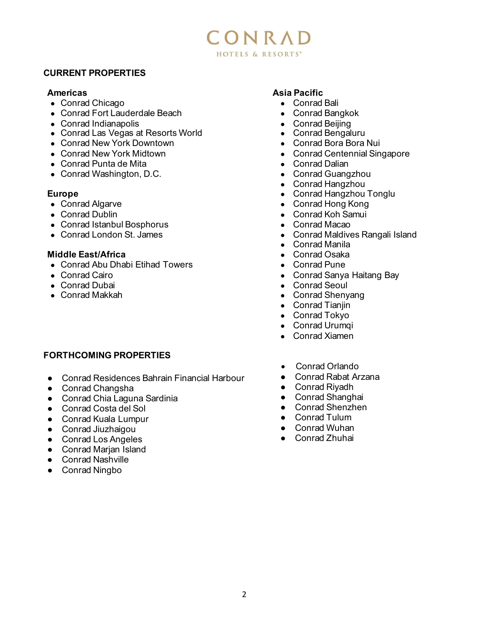# CONRAD HOTELS & RESORTS®

### **CURRENT PROPERTIES**

#### **Americas**

- Conrad Chicago
- Conrad Fort Lauderdale Beach
- Conrad Indianapolis
- Conrad Las Vegas at Resorts World
- Conrad New York Downtown
- Conrad New York Midtown
- Conrad Punta de Mita
- Conrad Washington, D.C.

### **Europe**

- Conrad Algarve
- Conrad Dublin
- Conrad Istanbul Bosphorus
- Conrad London St. James

### **Middle East/Africa**

- Conrad Abu Dhabi Etihad Towers
- Conrad Cairo
- Conrad Dubai
- Conrad Makkah

# **FORTHCOMING PROPERTIES**

- Conrad Residences Bahrain Financial Harbour
- Conrad Changsha
- Conrad Chia Laguna Sardinia
- Conrad Costa del Sol
- Conrad Kuala Lumpur
- Conrad Jiuzhaigou
- Conrad Los Angeles
- Conrad Marian Island
- Conrad Nashville
- Conrad Ningbo

# **Asia Pacific**

- Conrad Bali
- Conrad Bangkok
- Conrad Beijing
- Conrad Bengaluru
- Conrad Bora Bora Nui
- Conrad Centennial Singapore
- Conrad Dalian
- Conrad Guangzhou
- Conrad Hangzhou
- Conrad Hangzhou Tonglu
- Conrad Hong Kong
- Conrad Koh Samui
- Conrad Macao
- Conrad Maldives Rangali Island
- Conrad Manila
- Conrad Osaka
- Conrad Pune
- Conrad Sanya Haitang Bay
- Conrad Seoul
- Conrad Shenyang
- Conrad Tianjin
- Conrad Tokyo
- Conrad Urumqi
- Conrad Xiamen
- Conrad Orlando
- Conrad Rabat Arzana
- Conrad Riyadh
- Conrad Shanghai
- Conrad Shenzhen
- Conrad Tulum
- Conrad Wuhan
- Conrad Zhuhai